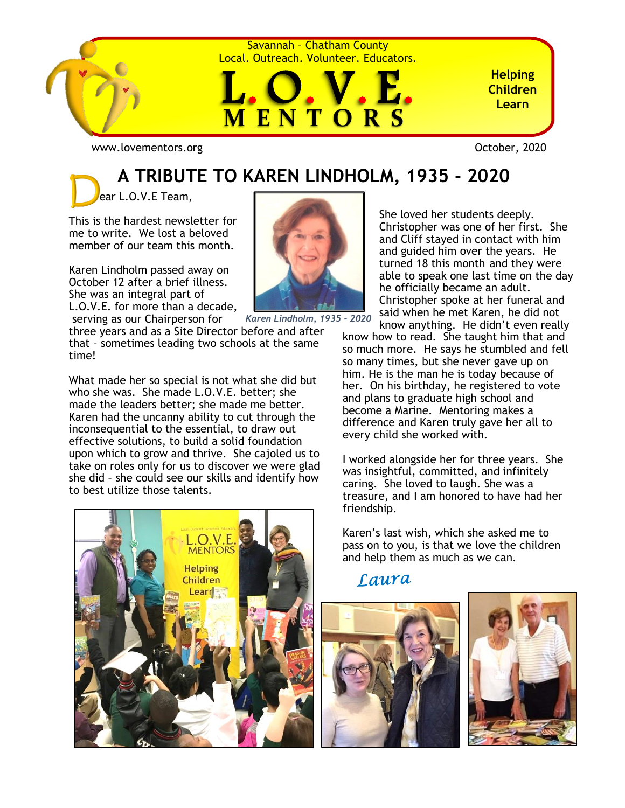

Savannah – Chatham County Local. Outreach. Volunteer. Educators.



**Helping Children Learn**

[www.lovementors.org](http://www.lovementors.org/)<br>
October, 2020

## **A TRIBUTE TO KAREN LINDHOLM, 1935 - 2020**

ear L.O.V.E Team,

This is the hardest newsletter for me to write. We lost a beloved member of our team this month.

Karen Lindholm passed away on October 12 after a brief illness. She was an integral part of L.O.V.E. for more than a decade,

serving as our Chairperson for three years and as a Site Director before and after that – sometimes leading two schools at the same time!

What made her so special is not what she did but who she was. She made L.O.V.E. better; she made the leaders better; she made me better. Karen had the uncanny ability to cut through the inconsequential to the essential, to draw out effective solutions, to build a solid foundation upon which to grow and thrive. She cajoled us to take on roles only for us to discover we were glad she did – she could see our skills and identify how to best utilize those talents.





*Karen Lindholm, 1935 - 2020*

She loved her students deeply. Christopher was one of her first. She and Cliff stayed in contact with him and guided him over the years. He turned 18 this month and they were able to speak one last time on the day he officially became an adult. Christopher spoke at her funeral and said when he met Karen, he did not

know anything. He didn't even really know how to read. She taught him that and so much more. He says he stumbled and fell so many times, but she never gave up on him. He is the man he is today because of her. On his birthday, he registered to vote and plans to graduate high school and become a Marine. Mentoring makes a difference and Karen truly gave her all to every child she worked with.

I worked alongside her for three years. She was insightful, committed, and infinitely caring. She loved to laugh. She was a treasure, and I am honored to have had her friendship.

Karen's last wish, which she asked me to pass on to you, is that we love the children and help them as much as we can.

Laura



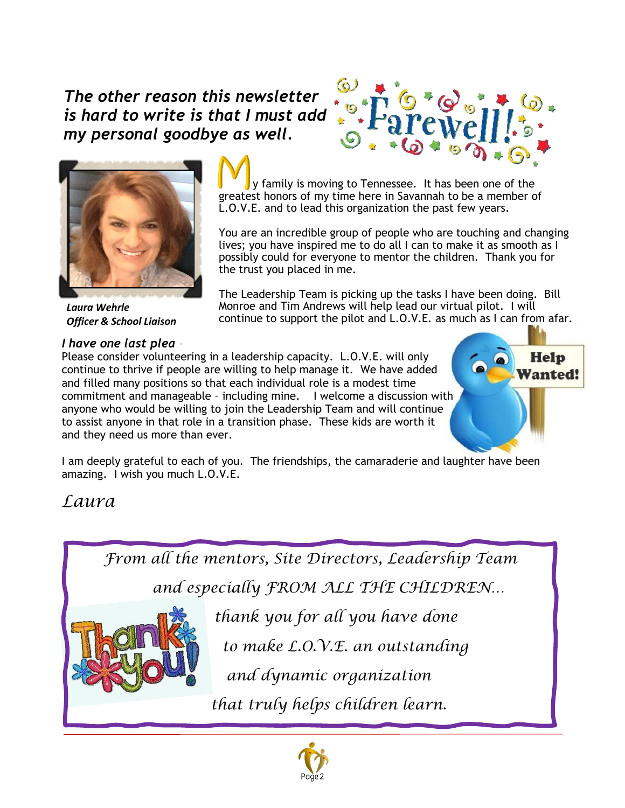### *The other reason this newsletter is hard to write is that I must add my personal goodbye as well.*





*Laura Wehrle Officer & School Liaison*

#### *I have one last plea* –

 y family is moving to Tennessee. It has been one of the greatest honors of my time here in Savannah to be a member of L.O.V.E. and to lead this organization the past few years.

You are an incredible group of people who are touching and changing lives; you have inspired me to do all I can to make it as smooth as I possibly could for everyone to mentor the children. Thank you for the trust you placed in me.

The Leadership Team is picking up the tasks I have been doing. Bill Monroe and Tim Andrews will help lead our virtual pilot. I will continue to support the pilot and L.O.V.E. as much as I can from afar.

Please consider volunteering in a leadership capacity. L.O.V.E. will only continue to thrive if people are willing to help manage it. We have added and filled many positions so that each individual role is a modest time commitment and manageable – including mine. I welcome a discussion with anyone who would be willing to join the Leadership Team and will continue to assist anyone in that role in a transition phase. These kids are worth it and they need us more than ever.



I am deeply grateful to each of you. The friendships, the camaraderie and laughter have been amazing. I wish you much L.O.V.E.

### *Laura*



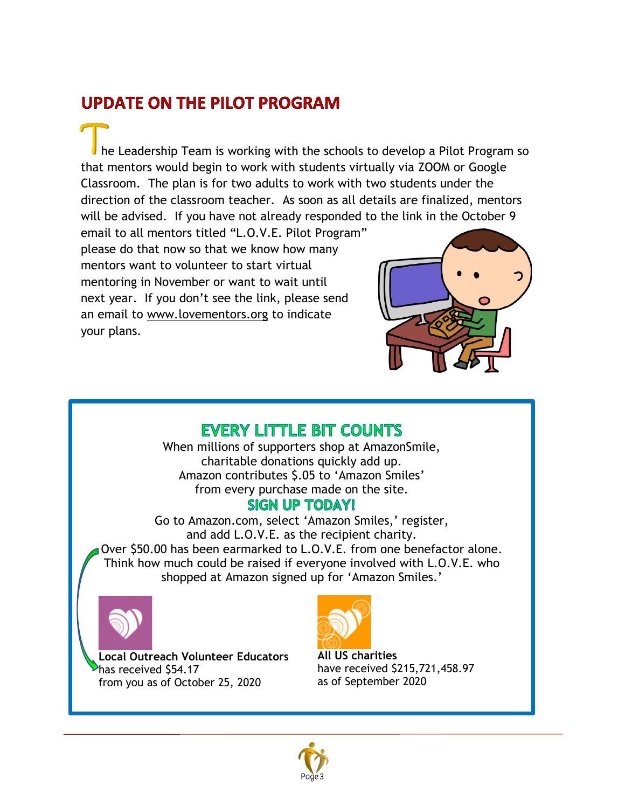### **UPDATE ON THE PILOT PROGRAM**

he Leadership Team is working with the schools to develop a Pilot Program so that mentors would begin to work with students virtually via ZOOM or Google Classroom. The plan is for two adults to work with two students under the direction of the classroom teacher. As soon as all details are finalized, mentors will be advised. If you have not already responded to the link in the October 9

email to all mentors titled "L.O.V.E. Pilot Program" please do that now so that we know how many mentors want to volunteer to start virtual mentoring in November or want to wait until next year. If you don't see the link, please send an email to [www.lovementors.org](http://www.lovementors.org/) to indicate your plans.



#### **EVERY LITTLE BIT COUNTS**

When millions of supporters shop at AmazonSmile, charitable donations quickly add up. Amazon contributes \$.05 to 'Amazon Smiles' from every purchase made on the site.

#### **SIGN UP TODAY!**

Go to Amazon.com, select 'Amazon Smiles,' register, and add L.O.V.E. as the recipient charity. Over \$50.00 has been earmarked to L.O.V.E. from one benefactor alone. Think how much could be raised if everyone involved with L.O.V.E. who shopped at Amazon signed up for 'Amazon Smiles.'



**Local Outreach Volunteer Educators**  has received \$54.17 from you as of October 25, 2020



**All US charities** have received \$215,721,458.97 as of September 2020